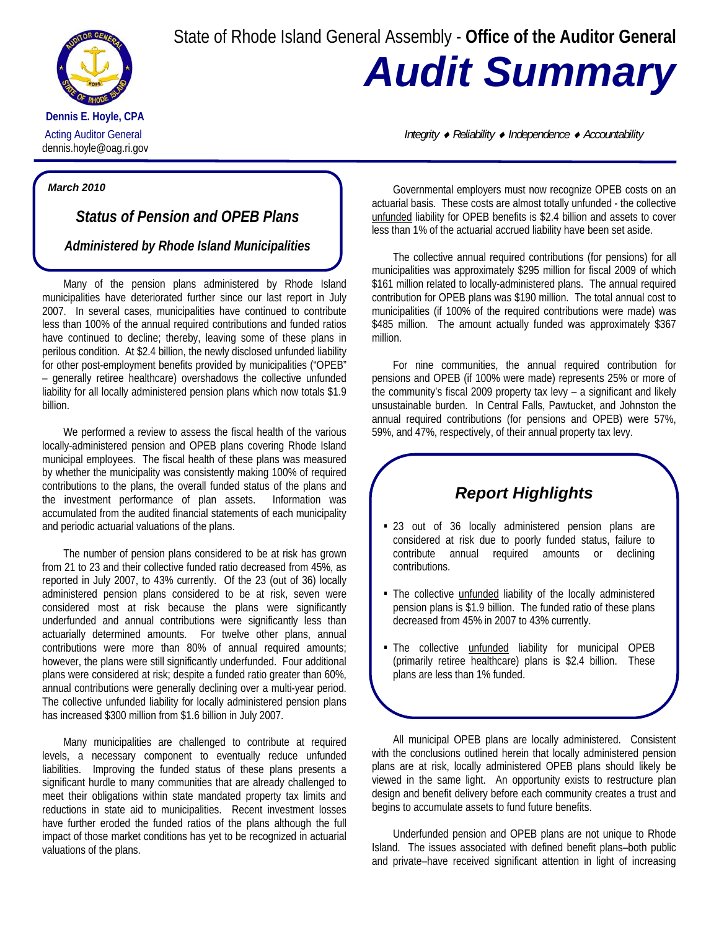State of Rhode Island General Assembly - **Office of the Auditor General**



**Dennis E. Hoyle, CPA**  dennis.hoyle@oag.ri.gov *Audit Summary* 

Acting Auditor General *Integrity* ♦ *Reliability* ♦ *Independence* ♦ *Accountability*

## *March 2010*

*Status of Pension and OPEB Plans* 

*Administered by Rhode Island Municipalities*

Many of the pension plans administered by Rhode Island municipalities have deteriorated further since our last report in July 2007. In several cases, municipalities have continued to contribute less than 100% of the annual required contributions and funded ratios have continued to decline; thereby, leaving some of these plans in perilous condition. At \$2.4 billion, the newly disclosed unfunded liability for other post-employment benefits provided by municipalities ("OPEB" – generally retiree healthcare) overshadows the collective unfunded liability for all locally administered pension plans which now totals \$1.9 billion.

We performed a review to assess the fiscal health of the various locally-administered pension and OPEB plans covering Rhode Island municipal employees. The fiscal health of these plans was measured by whether the municipality was consistently making 100% of required contributions to the plans, the overall funded status of the plans and the investment performance of plan assets. Information was accumulated from the audited financial statements of each municipality and periodic actuarial valuations of the plans.

The number of pension plans considered to be at risk has grown from 21 to 23 and their collective funded ratio decreased from 45%, as reported in July 2007, to 43% currently. Of the 23 (out of 36) locally administered pension plans considered to be at risk, seven were considered most at risk because the plans were significantly underfunded and annual contributions were significantly less than actuarially determined amounts. For twelve other plans, annual contributions were more than 80% of annual required amounts; however, the plans were still significantly underfunded. Four additional plans were considered at risk; despite a funded ratio greater than 60%, annual contributions were generally declining over a multi-year period. The collective unfunded liability for locally administered pension plans has increased \$300 million from \$1.6 billion in July 2007.

Many municipalities are challenged to contribute at required levels, a necessary component to eventually reduce unfunded liabilities. Improving the funded status of these plans presents a significant hurdle to many communities that are already challenged to meet their obligations within state mandated property tax limits and reductions in state aid to municipalities. Recent investment losses have further eroded the funded ratios of the plans although the full impact of those market conditions has yet to be recognized in actuarial valuations of the plans.

Governmental employers must now recognize OPEB costs on an actuarial basis. These costs are almost totally unfunded - the collective unfunded liability for OPEB benefits is \$2.4 billion and assets to cover less than 1% of the actuarial accrued liability have been set aside.

The collective annual required contributions (for pensions) for all municipalities was approximately \$295 million for fiscal 2009 of which \$161 million related to locally-administered plans. The annual required contribution for OPEB plans was \$190 million. The total annual cost to municipalities (if 100% of the required contributions were made) was \$485 million. The amount actually funded was approximately \$367 million.

For nine communities, the annual required contribution for pensions and OPEB (if 100% were made) represents 25% or more of the community's fiscal 2009 property tax levy – a significant and likely unsustainable burden. In Central Falls, Pawtucket, and Johnston the annual required contributions (for pensions and OPEB) were 57%, 59%, and 47%, respectively, of their annual property tax levy.

## *Report Highlights*

- 23 out of 36 locally administered pension plans are considered at risk due to poorly funded status, failure to contribute annual required amounts or declining contributions.
- The collective *unfunded* liability of the locally administered pension plans is \$1.9 billion. The funded ratio of these plans decreased from 45% in 2007 to 43% currently.
- The collective unfunded liability for municipal OPEB (primarily retiree healthcare) plans is \$2.4 billion. These plans are less than 1% funded.

All municipal OPEB plans are locally administered. Consistent with the conclusions outlined herein that locally administered pension plans are at risk, locally administered OPEB plans should likely be viewed in the same light. An opportunity exists to restructure plan design and benefit delivery before each community creates a trust and begins to accumulate assets to fund future benefits.

Underfunded pension and OPEB plans are not unique to Rhode Island. The issues associated with defined benefit plans–both public and private–have received significant attention in light of increasing